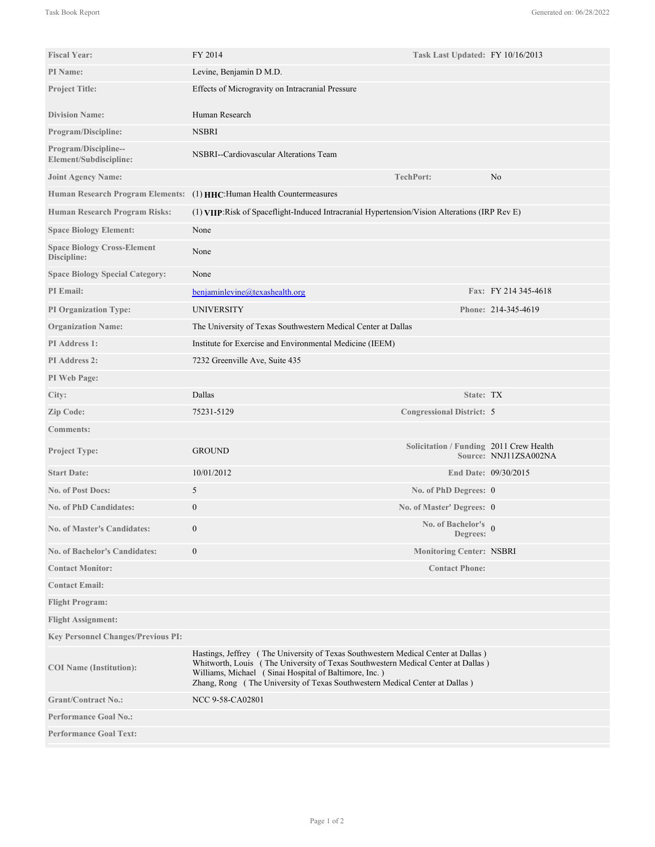| <b>Fiscal Year:</b>                               | FY 2014                                                                                                                                                                                                                                                                                                       | Task Last Updated: FY 10/16/2013        |                       |
|---------------------------------------------------|---------------------------------------------------------------------------------------------------------------------------------------------------------------------------------------------------------------------------------------------------------------------------------------------------------------|-----------------------------------------|-----------------------|
| <b>PI</b> Name:                                   | Levine, Benjamin D M.D.                                                                                                                                                                                                                                                                                       |                                         |                       |
| <b>Project Title:</b>                             | Effects of Microgravity on Intracranial Pressure                                                                                                                                                                                                                                                              |                                         |                       |
|                                                   |                                                                                                                                                                                                                                                                                                               |                                         |                       |
| <b>Division Name:</b>                             | Human Research                                                                                                                                                                                                                                                                                                |                                         |                       |
| <b>Program/Discipline:</b>                        | <b>NSBRI</b>                                                                                                                                                                                                                                                                                                  |                                         |                       |
| Program/Discipline--<br>Element/Subdiscipline:    | NSBRI--Cardiovascular Alterations Team                                                                                                                                                                                                                                                                        |                                         |                       |
| <b>Joint Agency Name:</b>                         |                                                                                                                                                                                                                                                                                                               | <b>TechPort:</b>                        | N <sub>0</sub>        |
|                                                   | Human Research Program Elements: (1) HHC: Human Health Countermeasures                                                                                                                                                                                                                                        |                                         |                       |
| <b>Human Research Program Risks:</b>              | (1) VIIP: Risk of Spaceflight-Induced Intracranial Hypertension/Vision Alterations (IRP Rev E)                                                                                                                                                                                                                |                                         |                       |
| <b>Space Biology Element:</b>                     | None                                                                                                                                                                                                                                                                                                          |                                         |                       |
| <b>Space Biology Cross-Element</b><br>Discipline: | None                                                                                                                                                                                                                                                                                                          |                                         |                       |
| <b>Space Biology Special Category:</b>            | None                                                                                                                                                                                                                                                                                                          |                                         |                       |
| <b>PI</b> Email:                                  | benjaminlevine@texashealth.org                                                                                                                                                                                                                                                                                |                                         | Fax: FY 214 345-4618  |
| PI Organization Type:                             | <b>UNIVERSITY</b>                                                                                                                                                                                                                                                                                             |                                         | Phone: 214-345-4619   |
| <b>Organization Name:</b>                         | The University of Texas Southwestern Medical Center at Dallas                                                                                                                                                                                                                                                 |                                         |                       |
| PI Address 1:                                     | Institute for Exercise and Environmental Medicine (IEEM)                                                                                                                                                                                                                                                      |                                         |                       |
| <b>PI Address 2:</b>                              | 7232 Greenville Ave, Suite 435                                                                                                                                                                                                                                                                                |                                         |                       |
| PI Web Page:                                      |                                                                                                                                                                                                                                                                                                               |                                         |                       |
| City:                                             | Dallas                                                                                                                                                                                                                                                                                                        | State: TX                               |                       |
| Zip Code:                                         | 75231-5129                                                                                                                                                                                                                                                                                                    | <b>Congressional District: 5</b>        |                       |
| <b>Comments:</b>                                  |                                                                                                                                                                                                                                                                                                               |                                         |                       |
| Project Type:                                     | <b>GROUND</b>                                                                                                                                                                                                                                                                                                 | Solicitation / Funding 2011 Crew Health | Source: NNJ11ZSA002NA |
| <b>Start Date:</b>                                | 10/01/2012                                                                                                                                                                                                                                                                                                    |                                         | End Date: 09/30/2015  |
| <b>No. of Post Docs:</b>                          | 5                                                                                                                                                                                                                                                                                                             | No. of PhD Degrees: 0                   |                       |
| <b>No. of PhD Candidates:</b>                     | $\mathbf{0}$                                                                                                                                                                                                                                                                                                  | No. of Master' Degrees: 0               |                       |
| <b>No. of Master's Candidates:</b>                | $\mathbf{0}$                                                                                                                                                                                                                                                                                                  | No. of Bachelor's $_0$<br>Degrees:      |                       |
| <b>No. of Bachelor's Candidates:</b>              | $\boldsymbol{0}$                                                                                                                                                                                                                                                                                              | <b>Monitoring Center: NSBRI</b>         |                       |
| <b>Contact Monitor:</b>                           |                                                                                                                                                                                                                                                                                                               | <b>Contact Phone:</b>                   |                       |
| <b>Contact Email:</b>                             |                                                                                                                                                                                                                                                                                                               |                                         |                       |
| <b>Flight Program:</b>                            |                                                                                                                                                                                                                                                                                                               |                                         |                       |
| <b>Flight Assignment:</b>                         |                                                                                                                                                                                                                                                                                                               |                                         |                       |
| <b>Key Personnel Changes/Previous PI:</b>         |                                                                                                                                                                                                                                                                                                               |                                         |                       |
| <b>COI</b> Name (Institution):                    | Hastings, Jeffrey (The University of Texas Southwestern Medical Center at Dallas)<br>Whitworth, Louis (The University of Texas Southwestern Medical Center at Dallas)<br>Williams, Michael (Sinai Hospital of Baltimore, Inc.)<br>Zhang, Rong (The University of Texas Southwestern Medical Center at Dallas) |                                         |                       |
| <b>Grant/Contract No.:</b>                        | NCC 9-58-CA02801                                                                                                                                                                                                                                                                                              |                                         |                       |
| <b>Performance Goal No.:</b>                      |                                                                                                                                                                                                                                                                                                               |                                         |                       |
| <b>Performance Goal Text:</b>                     |                                                                                                                                                                                                                                                                                                               |                                         |                       |